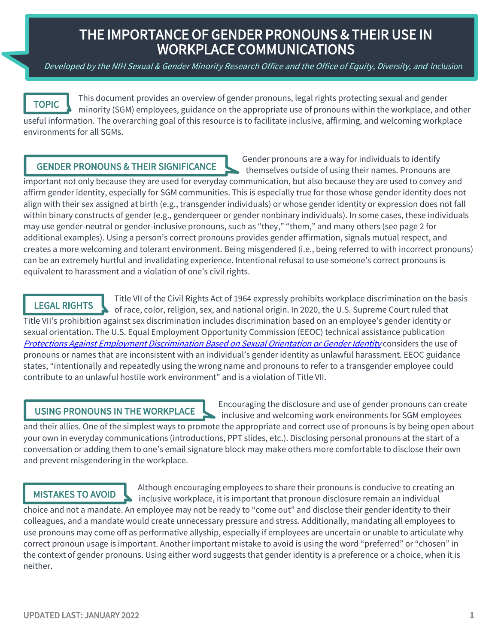# THE IMPORTANCE OF GENDER PRONOUNS & THEIR USE IN WORKPLACE COMMUNICATIONS

Developed by the NIH Sexual & Gender Minority Research Office and the Office of Equity, Diversity, and Inclusion

TOPIC

This document provides an overview of gender pronouns, legal rights protecting sexual and gender minority (SGM) employees, guidance on the appropriate use of pronouns within the workplace, and other useful information. The overarching goal of this resource is to facilitate inclusive, affirming, and welcoming workplace environments for all SGMs.

## **GENDER PRONOUNS & THEIR SIGNIFICANCE**

Gender pronouns are a way for individuals to identify themselves outside of using their names. Pronouns are

 important not only because they are used for everyday communication, but also because they are used to convey and affirm gender identity, especially for SGM communities. This is especially true for those whose gender identity does not align with their sex assigned at birth (e.g., transgender individuals) or whose gender identity or expression does not fall within binary constructs of gender (e.g., genderqueer or gender nonbinary individuals). In some cases, these individuals may use gender-neutral or gender-inclusive pronouns, such as "they," "them," and many others (see page 2 for additional examples). Using a person's correct pronouns provides gender affirmation, signals mutual respect, and creates a more welcoming and tolerant environment. Being misgendered (i.e., being referred to with incorrect pronouns) can be an extremely hurtful and invalidating experience. Intentional refusal to use someone's correct pronouns is equivalent to harassment and a violation of one's civil rights.

## LEGAL RIGHTS

Protections Against Employment Discrimination Based on Sexual Orientation or Gender Identity</u> considers the use of Title VII of the Civil Rights Act of 1964 expressly prohibits workplace discrimination on the basis of race, color, religion, sex, and national origin. In 2020, the U.S. Supreme Court ruled that Title VII's prohibition against sex discrimination includes discrimination based on an employee's gender identity or sexual orientation. The U.S. Equal Employment Opportunity Commission (EEOC) technical assistance publication pronouns or names that are inconsistent with an individual's gender identity as unlawful harassment. EEOC guidance states, "intentionally and repeatedly using the wrong name and pronouns to refer to a transgender employee could contribute to an unlawful hostile work environment" and is a violation of Title VII.

USING PRONOUNS IN THE WORKPLACE Encouraging the disclosure and use of gender pronouns can create inclusive and welcoming work environments for SGM employees

and their allies. One of the simplest ways to promote the appropriate and correct use of pronouns is by being open about your own in everyday communications (introductions, PPT slides, etc.). Disclosing personal pronouns at the start of a conversation or adding them to one's email signature block may make others more comfortable to disclose their own and prevent misgendering in the workplace.

Although encouraging employees to share their pronouns is conducive to creating an **MISTAKES TO AVOID** and the inclusive weakenlase it is important that propoun disclosure remain an individual inclusive workplace, it is important that pronoun disclosure remain an individual choice and not a mandate. An employee may not be ready to "come out" and disclose their gender identity to their

colleagues, and a mandate would create unnecessary pressure and stress. Additionally, mandating all employees to use pronouns may come off as performative allyship, especially if employees are uncertain or unable to articulate why correct pronoun usage is important. Another important mistake to avoid is using the word "preferred" or "chosen" in the context of gender pronouns. Using either word suggests that gender identity is a preference or a choice, when it is neither.